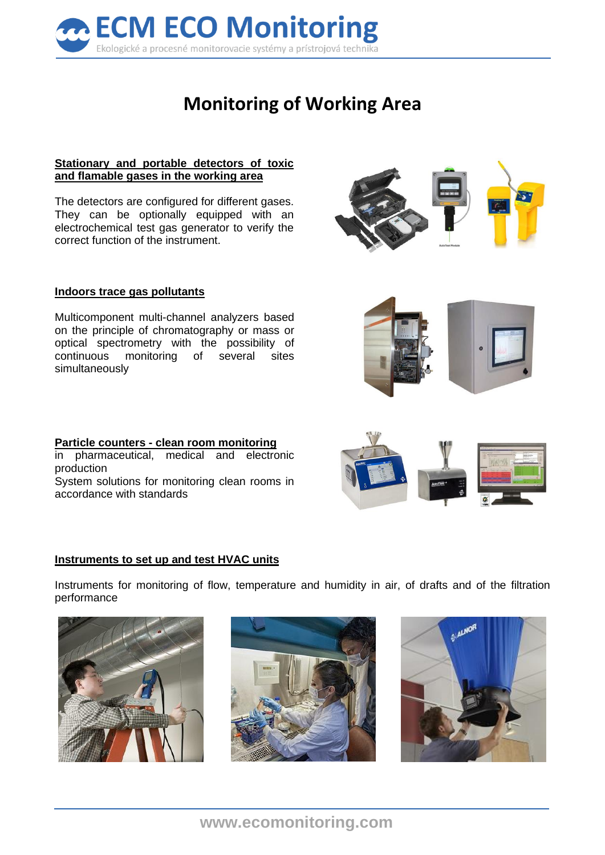

# **Monitoring of Working Area**

### **Stationary and portable detectors of toxic and flamable gases in the working area**

The detectors are configured for different gases. They can be optionally equipped with an electrochemical test gas generator to verify the correct function of the instrument.

### **Indoors trace gas pollutants**

Multicomponent multi-channel analyzers based on the principle of chromatography or mass or optical spectrometry with the possibility of continuous monitoring of several sites simultaneously

**Particle counters - clean room monitoring**  in pharmaceutical, medical and electronic production System solutions for monitoring clean rooms in accordance with standards

#### **Instruments to set up and test HVAC units**

Instruments for monitoring of flow, temperature and humidity in air, of drafts and of the filtration performance